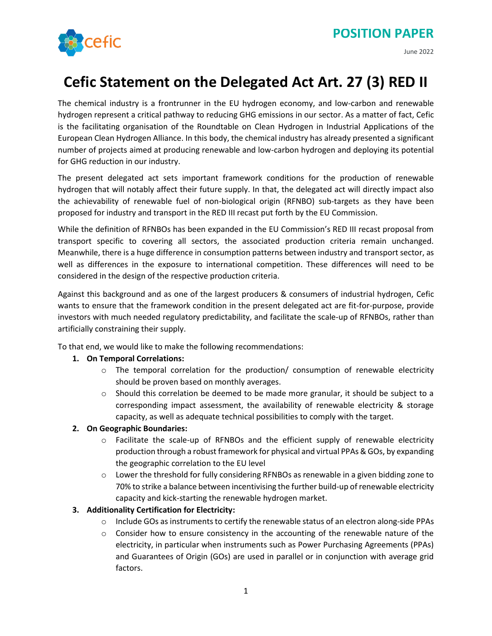June 2022



# **Cefic Statement on the Delegated Act Art. 27 (3) RED II**

The chemical industry is a frontrunner in the EU hydrogen economy, and low-carbon and renewable hydrogen represent a critical pathway to reducing GHG emissions in our sector. As a matter of fact, Cefic is the facilitating organisation of the Roundtable on Clean Hydrogen in Industrial Applications of the European Clean Hydrogen Alliance. In this body, the chemical industry has already presented a significant number of projects aimed at producing renewable and low-carbon hydrogen and deploying its potential for GHG reduction in our industry.

The present delegated act sets important framework conditions for the production of renewable hydrogen that will notably affect their future supply. In that, the delegated act will directly impact also the achievability of renewable fuel of non-biological origin (RFNBO) sub-targets as they have been proposed for industry and transport in the RED III recast put forth by the EU Commission.

While the definition of RFNBOs has been expanded in the EU Commission's RED III recast proposal from transport specific to covering all sectors, the associated production criteria remain unchanged. Meanwhile, there is a huge difference in consumption patterns between industry and transport sector, as well as differences in the exposure to international competition. These differences will need to be considered in the design of the respective production criteria.

Against this background and as one of the largest producers & consumers of industrial hydrogen, Cefic wants to ensure that the framework condition in the present delegated act are fit-for-purpose, provide investors with much needed regulatory predictability, and facilitate the scale-up of RFNBOs, rather than artificially constraining their supply.

To that end, we would like to make the following recommendations:

# **1. On Temporal Correlations:**

- $\circ$  The temporal correlation for the production/ consumption of renewable electricity should be proven based on monthly averages.
- $\circ$  Should this correlation be deemed to be made more granular, it should be subject to a corresponding impact assessment, the availability of renewable electricity & storage capacity, as well as adequate technical possibilities to comply with the target.

# **2. On Geographic Boundaries:**

- $\circ$  Facilitate the scale-up of RFNBOs and the efficient supply of renewable electricity production through a robust framework for physical and virtual PPAs & GOs, by expanding the geographic correlation to the EU level
- $\circ$  Lower the threshold for fully considering RFNBOs as renewable in a given bidding zone to 70% to strike a balance between incentivising the further build-up of renewable electricity capacity and kick-starting the renewable hydrogen market.

# **3. Additionality Certification for Electricity:**

- $\circ$  Include GOs as instruments to certify the renewable status of an electron along-side PPAs
- $\circ$  Consider how to ensure consistency in the accounting of the renewable nature of the electricity, in particular when instruments such as Power Purchasing Agreements (PPAs) and Guarantees of Origin (GOs) are used in parallel or in conjunction with average grid factors.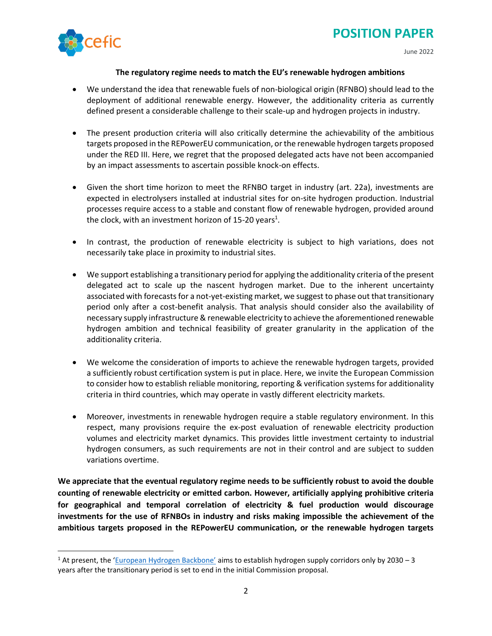

#### **The regulatory regime needs to match the EU's renewable hydrogen ambitions**

- We understand the idea that renewable fuels of non-biological origin (RFNBO) should lead to the deployment of additional renewable energy. However, the additionality criteria as currently defined present a considerable challenge to their scale-up and hydrogen projects in industry.
- The present production criteria will also critically determine the achievability of the ambitious targets proposed in the REPowerEU communication, or the renewable hydrogen targets proposed under the RED III. Here, we regret that the proposed delegated acts have not been accompanied by an impact assessments to ascertain possible knock-on effects.
- Given the short time horizon to meet the RFNBO target in industry (art. 22a), investments are expected in electrolysers installed at industrial sites for on-site hydrogen production. Industrial processes require access to a stable and constant flow of renewable hydrogen, provided around the clock, with an investment horizon of 15-20 years<sup>1</sup>.
- In contrast, the production of renewable electricity is subject to high variations, does not necessarily take place in proximity to industrial sites.
- We support establishing a transitionary period for applying the additionality criteria of the present delegated act to scale up the nascent hydrogen market. Due to the inherent uncertainty associated with forecasts for a not-yet-existing market, we suggest to phase out that transitionary period only after a cost-benefit analysis. That analysis should consider also the availability of necessary supply infrastructure & renewable electricity to achieve the aforementioned renewable hydrogen ambition and technical feasibility of greater granularity in the application of the additionality criteria.
- We welcome the consideration of imports to achieve the renewable hydrogen targets, provided a sufficiently robust certification system is put in place. Here, we invite the European Commission to consider how to establish reliable monitoring, reporting & verification systems for additionality criteria in third countries, which may operate in vastly different electricity markets.
- Moreover, investments in renewable hydrogen require a stable regulatory environment. In this respect, many provisions require the ex-post evaluation of renewable electricity production volumes and electricity market dynamics. This provides little investment certainty to industrial hydrogen consumers, as such requirements are not in their control and are subject to sudden variations overtime.

**We appreciate that the eventual regulatory regime needs to be sufficiently robust to avoid the double counting of renewable electricity or emitted carbon. However, artificially applying prohibitive criteria for geographical and temporal correlation of electricity & fuel production would discourage investments for the use of RFNBOs in industry and risks making impossible the achievement of the ambitious targets proposed in the REPowerEU communication, or the renewable hydrogen targets** 

<sup>&</sup>lt;sup>1</sup> At present, the ['European Hydrogen Backbone'](https://ehb.eu/newsitems?utm_source=POLITICO.EU&utm_campaign=495b7a5357-EMAIL_CAMPAIGN_2022_06_08_04_59&utm_medium=email&utm_term=0_10959edeb5-495b7a5357-190724804#ceos-of-31-european-gas-infrastructure-companies-present-a-pledge-to-establish-hydrogen-supply-corridors-by-2030-to-the-european-commission-at-the-european-hydrogen-backbone-day-event) aims to establish hydrogen supply corridors only by 2030 - 3 years after the transitionary period is set to end in the initial Commission proposal.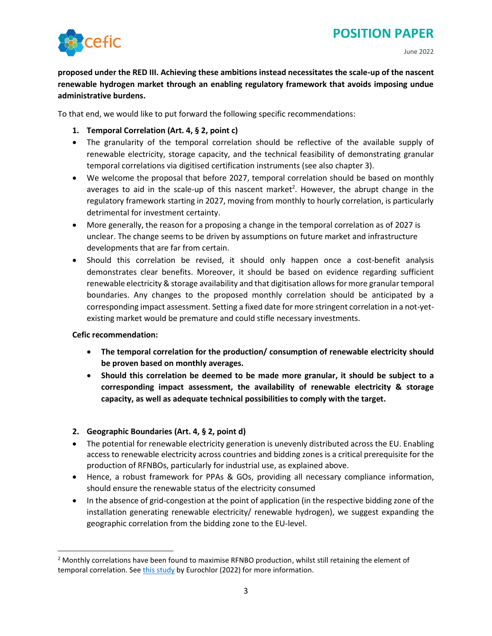

**proposed under the RED III. Achieving these ambitions instead necessitates the scale-up of the nascent renewable hydrogen market through an enabling regulatory framework that avoids imposing undue administrative burdens.** 

To that end, we would like to put forward the following specific recommendations:

- **1. Temporal Correlation (Art. 4, § 2, point c)**
- The granularity of the temporal correlation should be reflective of the available supply of renewable electricity, storage capacity, and the technical feasibility of demonstrating granular temporal correlations via digitised certification instruments (see also chapter 3).
- We welcome the proposal that before 2027, temporal correlation should be based on monthly averages to aid in the scale-up of this nascent market<sup>2</sup>. However, the abrupt change in the regulatory framework starting in 2027, moving from monthly to hourly correlation, is particularly detrimental for investment certainty.
- More generally, the reason for a proposing a change in the temporal correlation as of 2027 is unclear. The change seems to be driven by assumptions on future market and infrastructure developments that are far from certain.
- Should this correlation be revised, it should only happen once a cost-benefit analysis demonstrates clear benefits. Moreover, it should be based on evidence regarding sufficient renewable electricity & storage availability and that digitisation allowsfor more granular temporal boundaries. Any changes to the proposed monthly correlation should be anticipated by a corresponding impact assessment. Setting a fixed date for more stringent correlation in a not-yetexisting market would be premature and could stifle necessary investments.

#### **Cefic recommendation:**

- **The temporal correlation for the production/ consumption of renewable electricity should be proven based on monthly averages.**
- **Should this correlation be deemed to be made more granular, it should be subject to a corresponding impact assessment, the availability of renewable electricity & storage capacity, as well as adequate technical possibilities to comply with the target.**

#### **2. Geographic Boundaries (Art. 4, § 2, point d)**

- The potential for renewable electricity generation is unevenly distributed across the EU. Enabling access to renewable electricity across countries and bidding zones is a critical prerequisite for the production of RFNBOs, particularly for industrial use, as explained above.
- Hence, a robust framework for PPAs & GOs, providing all necessary compliance information, should ensure the renewable status of the electricity consumed
- In the absence of grid-congestion at the point of application (in the respective bidding zone of the installation generating renewable electricity/ renewable hydrogen), we suggest expanding the geographic correlation from the bidding zone to the EU-level.

<sup>&</sup>lt;sup>2</sup> Monthly correlations have been found to maximise RFNBO production, whilst still retaining the element of temporal correlation. See [this study](https://www.eurochlor.org/wp-content/uploads/2022/06/The-consequences-of-time-correlations-for-PPA-on-the-RFNBO-status-of-hydrogen-produced-in-chlor-alkali.pdf) by Eurochlor (2022) for more information.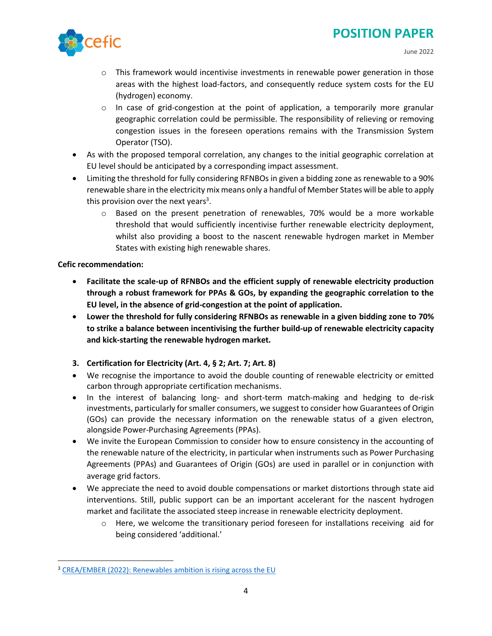

- $\circ$  This framework would incentivise investments in renewable power generation in those areas with the highest load-factors, and consequently reduce system costs for the EU (hydrogen) economy.
- $\circ$  In case of grid-congestion at the point of application, a temporarily more granular geographic correlation could be permissible. The responsibility of relieving or removing congestion issues in the foreseen operations remains with the Transmission System Operator (TSO).
- As with the proposed temporal correlation, any changes to the initial geographic correlation at EU level should be anticipated by a corresponding impact assessment.
- Limiting the threshold for fully considering RFNBOs in given a bidding zone as renewable to a 90% renewable share in the electricity mix means only a handful of Member States will be able to apply this provision over the next years<sup>3</sup>.
	- $\circ$  Based on the present penetration of renewables, 70% would be a more workable threshold that would sufficiently incentivise further renewable electricity deployment, whilst also providing a boost to the nascent renewable hydrogen market in Member States with existing high renewable shares.

# **Cefic recommendation:**

- **Facilitate the scale-up of RFNBOs and the efficient supply of renewable electricity production through a robust framework for PPAs & GOs, by expanding the geographic correlation to the EU level, in the absence of grid-congestion at the point of application.**
- **Lower the threshold for fully considering RFNBOs as renewable in a given bidding zone to 70% to strike a balance between incentivising the further build-up of renewable electricity capacity and kick-starting the renewable hydrogen market.**
- **3. Certification for Electricity (Art. 4, § 2; Art. 7; Art. 8)**
- We recognise the importance to avoid the double counting of renewable electricity or emitted carbon through appropriate certification mechanisms.
- In the interest of balancing long- and short-term match-making and hedging to de-risk investments, particularly for smaller consumers, we suggest to consider how Guarantees of Origin (GOs) can provide the necessary information on the renewable status of a given electron, alongside Power-Purchasing Agreements (PPAs).
- We invite the European Commission to consider how to ensure consistency in the accounting of the renewable nature of the electricity, in particular when instruments such as Power Purchasing Agreements (PPAs) and Guarantees of Origin (GOs) are used in parallel or in conjunction with average grid factors.
- We appreciate the need to avoid double compensations or market distortions through state aid interventions. Still, public support can be an important accelerant for the nascent hydrogen market and facilitate the associated steep increase in renewable electricity deployment.
	- $\circ$  Here, we welcome the transitionary period foreseen for installations receiving aid for being considered 'additional.'

<sup>&</sup>lt;sup>3</sup> [CREA/EMBER \(2022\): Renewables ambition is rising across the EU](https://ember-climate.org/insights/research/eu-slashes-fossil-fuels/)